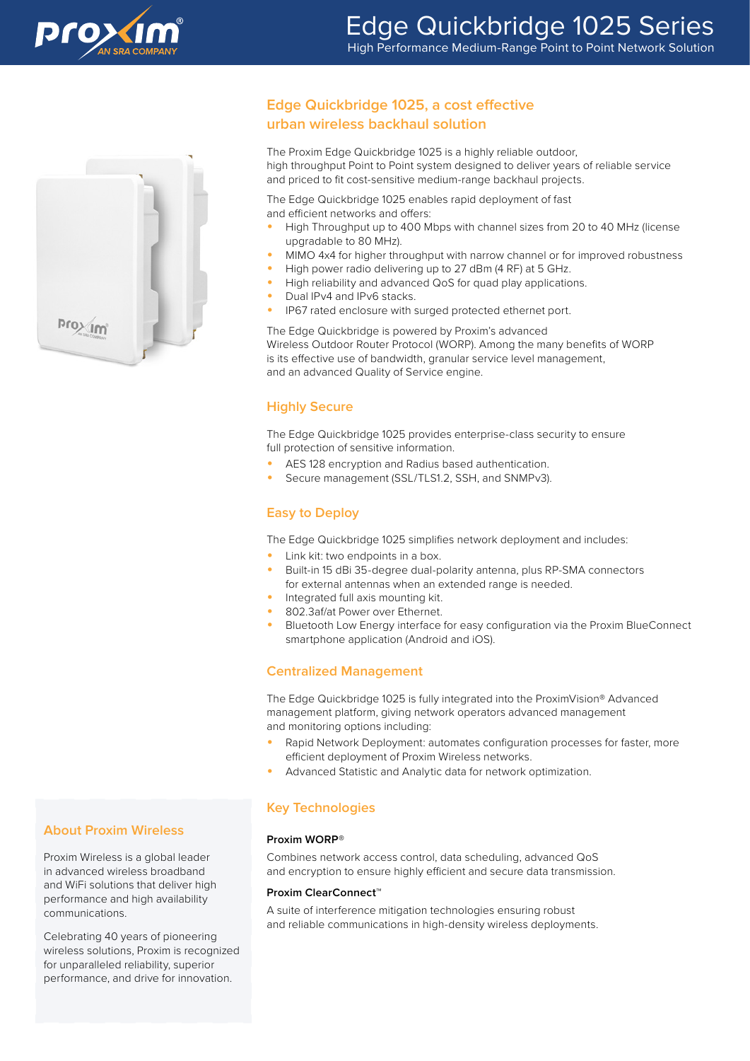



## **Edge Quickbridge 1025, a cost effective urban wireless backhaul solution**

The Proxim Edge Quickbridge 1025 is a highly reliable outdoor, high throughput Point to Point system designed to deliver years of reliable service and priced to fit cost-sensitive medium-range backhaul projects.

The Edge Quickbridge 1025 enables rapid deployment of fast and efficient networks and offers:

- High Throughput up to 400 Mbps with channel sizes from 20 to 40 MHz (license upgradable to 80 MHz).
- MIMO 4x4 for higher throughput with narrow channel or for improved robustness
- High power radio delivering up to 27 dBm (4 RF) at 5 GHz.
- High reliability and advanced QoS for quad play applications.
- Dual IPv4 and IPv6 stacks.
- IP67 rated enclosure with surged protected ethernet port.

The Edge Quickbridge is powered by Proxim's advanced Wireless Outdoor Router Protocol (WORP). Among the many benefits of WORP is its effective use of bandwidth, granular service level management, and an advanced Quality of Service engine.

### **Highly Secure**

The Edge Quickbridge 1025 provides enterprise-class security to ensure full protection of sensitive information.

- AES 128 encryption and Radius based authentication.
- Secure management (SSL/TLS1.2, SSH, and SNMPv3).

## **Easy to Deploy**

The Edge Quickbridge 1025 simplifies network deployment and includes:

- Link kit: two endpoints in a box.
- Built-in 15 dBi 35-degree dual-polarity antenna, plus RP-SMA connectors for external antennas when an extended range is needed.
- Integrated full axis mounting kit.
- 802.3af/at Power over Ethernet.
- Bluetooth Low Energy interface for easy configuration via the Proxim BlueConnect smartphone application (Android and iOS).

### **Centralized Management**

The Edge Quickbridge 1025 is fully integrated into the ProximVision® Advanced management platform, giving network operators advanced management and monitoring options including:

- Rapid Network Deployment: automates configuration processes for faster, more efficient deployment of Proxim Wireless networks.
- Advanced Statistic and Analytic data for network optimization.

### **Key Technologies**

#### **Proxim WORP®**

Combines network access control, data scheduling, advanced QoS and encryption to ensure highly efficient and secure data transmission.

#### **Proxim ClearConnect™**

A suite of interference mitigation technologies ensuring robust and reliable communications in high-density wireless deployments.

### **About Proxim Wireless**

Proxim Wireless is a global leader in advanced wireless broadband and WiFi solutions that deliver high performance and high availability communications.

Celebrating 40 years of pioneering wireless solutions, Proxim is recognized for unparalleled reliability, superior performance, and drive for innovation.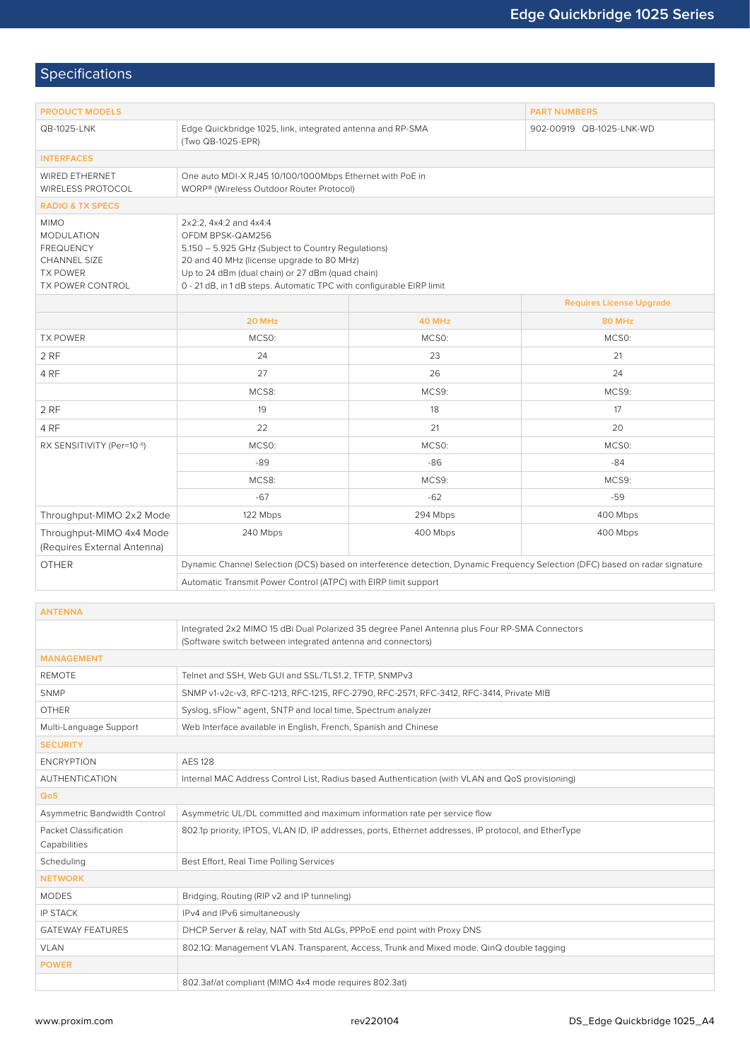# Specifications

| <b>PRODUCT MODELS</b>                                                                                              |                                                                                                                                                                                                                                                                           | <b>PART NUMBERS</b>      |                                 |  |  |  |  |
|--------------------------------------------------------------------------------------------------------------------|---------------------------------------------------------------------------------------------------------------------------------------------------------------------------------------------------------------------------------------------------------------------------|--------------------------|---------------------------------|--|--|--|--|
| QB-1025-LNK                                                                                                        | Edge Quickbridge 1025, link, integrated antenna and RP-SMA<br>(Two QB-1025-EPR)                                                                                                                                                                                           | 902-00919 QB-1025-LNK-WD |                                 |  |  |  |  |
| <b>INTERFACES</b>                                                                                                  |                                                                                                                                                                                                                                                                           |                          |                                 |  |  |  |  |
| WIRED ETHERNET<br><b>WIRELESS PROTOCOL</b>                                                                         | One auto MDI-X RJ45 10/100/1000Mbps Ethernet with PoE in<br>WORP® (Wireless Outdoor Router Protocol)                                                                                                                                                                      |                          |                                 |  |  |  |  |
| <b>RADIO &amp; TX SPECS</b>                                                                                        |                                                                                                                                                                                                                                                                           |                          |                                 |  |  |  |  |
| <b>MIMO</b><br><b>MODULATION</b><br><b>FREQUENCY</b><br><b>CHANNEL SIZE</b><br><b>TX POWER</b><br>TX POWER CONTROL | 2x2:2, 4x4:2 and 4x4:4<br>OFDM BPSK-QAM256<br>5.150 - 5.925 GHz (Subject to Country Regulations)<br>20 and 40 MHz (license upgrade to 80 MHz)<br>Up to 24 dBm (dual chain) or 27 dBm (quad chain)<br>0 - 21 dB, in 1 dB steps. Automatic TPC with configurable EIRP limit |                          |                                 |  |  |  |  |
|                                                                                                                    |                                                                                                                                                                                                                                                                           |                          | <b>Requires License Upgrade</b> |  |  |  |  |
|                                                                                                                    | 20 MHz                                                                                                                                                                                                                                                                    | 40 MHz                   | <b>80 MHz</b>                   |  |  |  |  |
| <b>TX POWER</b>                                                                                                    | MCSO:                                                                                                                                                                                                                                                                     | MCS0:                    | MCSO:                           |  |  |  |  |
| 2 RF                                                                                                               | 24                                                                                                                                                                                                                                                                        | 23                       | 21                              |  |  |  |  |
| 4 RF                                                                                                               | 27                                                                                                                                                                                                                                                                        | 26                       | 24                              |  |  |  |  |
|                                                                                                                    | MCS8:                                                                                                                                                                                                                                                                     | MCS9:                    | MCS9:                           |  |  |  |  |
| 2RF                                                                                                                | 19                                                                                                                                                                                                                                                                        | 18                       | 17                              |  |  |  |  |
| 4 RF                                                                                                               | 22                                                                                                                                                                                                                                                                        | 21                       | 20                              |  |  |  |  |
| RX SENSITIVITY (Per=10-6)                                                                                          | MCSO:                                                                                                                                                                                                                                                                     | MCS0:                    | MCSO:                           |  |  |  |  |
|                                                                                                                    | $-89$                                                                                                                                                                                                                                                                     | $-86$                    | $-84$                           |  |  |  |  |
|                                                                                                                    | MCS8:                                                                                                                                                                                                                                                                     | MCS9:                    | MCS9:                           |  |  |  |  |
|                                                                                                                    | $-67$                                                                                                                                                                                                                                                                     | $-62$                    | $-59$                           |  |  |  |  |
| Throughput-MIMO 2x2 Mode                                                                                           | 122 Mbps                                                                                                                                                                                                                                                                  | 294 Mbps                 | 400 Mbps                        |  |  |  |  |
| Throughput-MIMO 4x4 Mode<br>(Requires External Antenna)                                                            | 240 Mbps                                                                                                                                                                                                                                                                  | 400 Mbps                 | 400 Mbps                        |  |  |  |  |
| <b>OTHER</b>                                                                                                       | Dynamic Channel Selection (DCS) based on interference detection, Dynamic Frequency Selection (DFC) based on radar signature                                                                                                                                               |                          |                                 |  |  |  |  |
|                                                                                                                    | Automatic Transmit Power Control (ATPC) with EIRP limit support                                                                                                                                                                                                           |                          |                                 |  |  |  |  |
|                                                                                                                    |                                                                                                                                                                                                                                                                           |                          |                                 |  |  |  |  |
| <b>ANTENNA</b>                                                                                                     |                                                                                                                                                                                                                                                                           |                          |                                 |  |  |  |  |
|                                                                                                                    | Integrated 2x2 MIMO 15 dBi Dual Polarized 35 degree Panel Antenna plus Four RP-SMA Connectors<br>(Software switch between integrated antenna and connectors)                                                                                                              |                          |                                 |  |  |  |  |
| <b>MANAGEMENT</b>                                                                                                  |                                                                                                                                                                                                                                                                           |                          |                                 |  |  |  |  |
| <b>REMOTE</b>                                                                                                      | Telnet and SSH, Web GUI and SSL/TLS1.2, TFTP, SNMPv3                                                                                                                                                                                                                      |                          |                                 |  |  |  |  |
| SNMP                                                                                                               | SNMP v1-v2c-v3, RFC-1213, RFC-1215, RFC-2790, RFC-2571, RFC-3412, RFC-3414, Private MIB                                                                                                                                                                                   |                          |                                 |  |  |  |  |
| <b>OTHER</b>                                                                                                       | Syslog, sFlow™ agent, SNTP and local time, Spectrum analyzer                                                                                                                                                                                                              |                          |                                 |  |  |  |  |
| Multi-Language Support                                                                                             | Web Interface available in English, French, Spanish and Chinese                                                                                                                                                                                                           |                          |                                 |  |  |  |  |
| <b>SECURITY</b>                                                                                                    |                                                                                                                                                                                                                                                                           |                          |                                 |  |  |  |  |
| <b>ENCRYPTION</b>                                                                                                  | <b>AES 128</b>                                                                                                                                                                                                                                                            |                          |                                 |  |  |  |  |
| <b>AUTHENTICATION</b>                                                                                              | Internal MAC Address Control List, Radius based Authentication (with VLAN and QoS provisioning)                                                                                                                                                                           |                          |                                 |  |  |  |  |
| QoS                                                                                                                |                                                                                                                                                                                                                                                                           |                          |                                 |  |  |  |  |
| Asymmetric Bandwidth Control<br>Asymmetric UL/DL committed and maximum information rate per service flow           |                                                                                                                                                                                                                                                                           |                          |                                 |  |  |  |  |

| Asymmetric Bandwidth Control          | Asymmetric UL/DL committed and maximum information rate per service flow                             |  |  |  |
|---------------------------------------|------------------------------------------------------------------------------------------------------|--|--|--|
| Packet Classification<br>Capabilities | 802.1p priority, IPTOS, VLAN ID, IP addresses, ports, Ethernet addresses, IP protocol, and EtherType |  |  |  |
| Scheduling                            | Best Effort, Real Time Polling Services                                                              |  |  |  |
| <b>NETWORK</b>                        |                                                                                                      |  |  |  |
| <b>MODES</b>                          | Bridging, Routing (RIP v2 and IP tunneling)                                                          |  |  |  |
| <b>IP STACK</b>                       | IPv4 and IPv6 simultaneously                                                                         |  |  |  |
| <b>GATEWAY FEATURES</b>               | DHCP Server & relay, NAT with Std ALGs, PPPoE end point with Proxy DNS                               |  |  |  |
| <b>VLAN</b>                           | 802.1Q: Management VLAN. Transparent, Access, Trunk and Mixed mode. QinQ double tagging              |  |  |  |
| <b>POWER</b>                          |                                                                                                      |  |  |  |
|                                       | 802.3af/at compliant (MIMO 4x4 mode requires 802.3at)                                                |  |  |  |